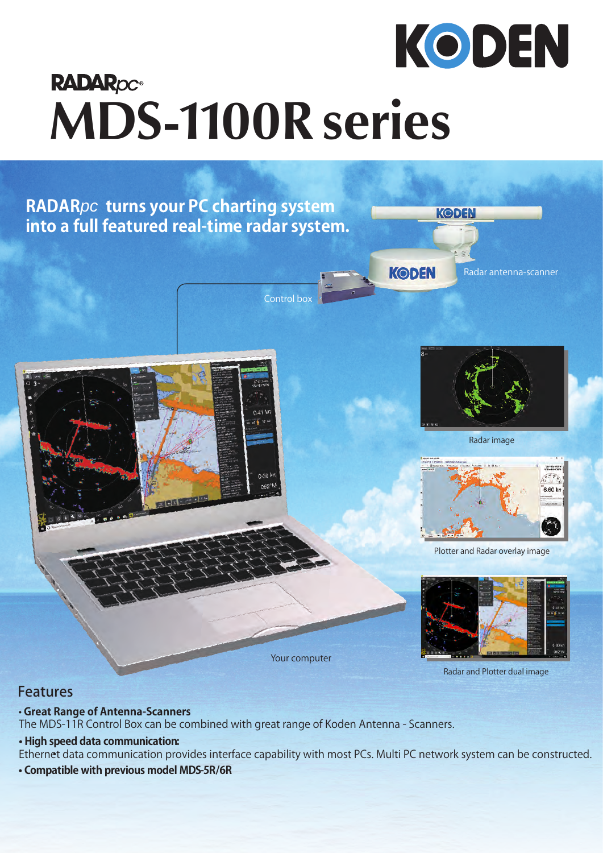

## **RADAROC® MDS-1100R series**



## Features

## • **Great Range of Antenna-Scanners**

The MDS-11R Control Box can be combined with great range of Koden Antenna - Scanners.

## **• High speed data communication:**

Ethernet data communication provides interface capability with most PCs. Multi PC network system can be constructed.

**• Compatible with previous model MDS-5R/6R**